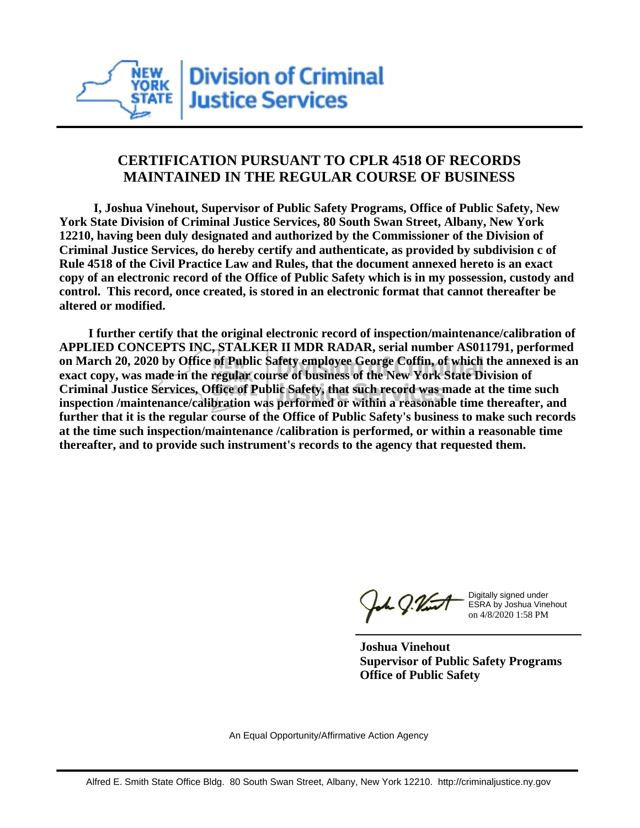

## **CERTIFICATION PURSUANT TO CPLR 4518 OF RECORDS MAINTAINED IN THE REGULAR COURSE OF BUSINESS**

 **I, Joshua Vinehout, Supervisor of Public Safety Programs, Office of Public Safety, New York State Division of Criminal Justice Services, 80 South Swan Street, Albany, New York 12210, having been duly designated and authorized by the Commissioner of the Division of Criminal Justice Services, do hereby certify and authenticate, as provided by subdivision c of Rule 4518 of the Civil Practice Law and Rules, that the document annexed hereto is an exact copy of an electronic record of the Office of Public Safety which is in my possession, custody and control. This record, once created, is stored in an electronic format that cannot thereafter be altered or modified.**

 **I further certify that the original electronic record of inspection/maintenance/calibration of APPLIED CONCEPTS INC, STALKER II MDR RADAR, serial number AS011791, performed on March 20, 2020 by Office of Public Safety employee George Coffin, of which the annexed is an exact copy, was made in the regular course of business of the New York State Division of Criminal Justice Services, Office of Public Safety, that such record was made at the time such inspection /maintenance/calibration was performed or within a reasonable time thereafter, and further that it is the regular course of the Office of Public Safety's business to make such records at the time such inspection/maintenance /calibration is performed, or within a reasonable time thereafter, and to provide such instrument's records to the agency that requested them.**

h J.Vint

Digitally signed under ESRA by Joshua Vinehout on 4/8/2020 1:58 PM

**Joshua Vinehout Supervisor of Public Safety Programs Office of Public Safety**

An Equal Opportunity/Affirmative Action Agency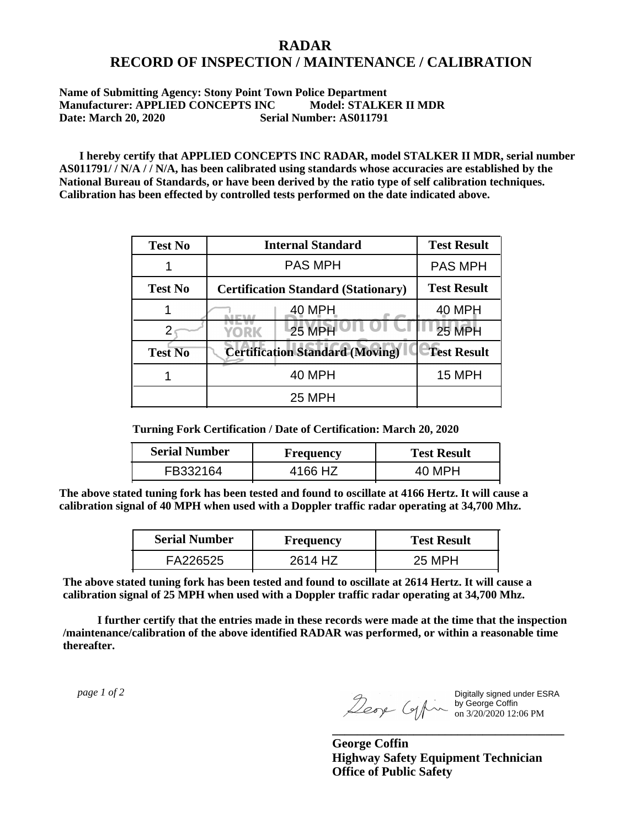## **RADAR RECORD OF INSPECTION / MAINTENANCE / CALIBRATION**

## **Name of Submitting Agency: Stony Point Town Police Department Manufacturer: APPLIED CONCEPTS INC Model: STALKER II MDR Date: March 20, 2020 Serial Number: AS011791**

 **I hereby certify that APPLIED CONCEPTS INC RADAR, model STALKER II MDR, serial number AS011791/ / N/A / / N/A, has been calibrated using standards whose accuracies are established by the National Bureau of Standards, or have been derived by the ratio type of self calibration techniques. Calibration has been effected by controlled tests performed on the date indicated above.**

| <b>Test No</b> | <b>Internal Standard</b>                   | <b>Test Result</b> |
|----------------|--------------------------------------------|--------------------|
|                | <b>PAS MPH</b>                             | <b>PAS MPH</b>     |
| <b>Test No</b> | <b>Certification Standard (Stationary)</b> | <b>Test Result</b> |
|                | 40 MPH                                     | 40 MPH             |
|                | <b>25 MPH</b><br>YORK                      | <b>25 MPH</b>      |
| <b>Test No</b> | <b>Certification Standard (Moving)</b>     | <b>Test Result</b> |
|                | 40 MPH                                     | <b>15 MPH</b>      |
|                | 25 MPH                                     |                    |

**Turning Fork Certification / Date of Certification: March 20, 2020**

| <b>Serial Number</b> | <b>Frequency</b> | <b>Test Result</b> |
|----------------------|------------------|--------------------|
| FB332164             | 4166 HZ          | 40 MPH             |

**The above stated tuning fork has been tested and found to oscillate at 4166 Hertz. It will cause a calibration signal of 40 MPH when used with a Doppler traffic radar operating at 34,700 Mhz.**

| <b>Serial Number</b> | Frequency | <b>Test Result</b> |
|----------------------|-----------|--------------------|
| FA226525             | 2614 HZ   | 25 MPH             |

**The above stated tuning fork has been tested and found to oscillate at 2614 Hertz. It will cause a calibration signal of 25 MPH when used with a Doppler traffic radar operating at 34,700 Mhz.**

 **I further certify that the entries made in these records were made at the time that the inspection /maintenance/calibration of the above identified RADAR was performed, or within a reasonable time thereafter.**

 *page 1 of 2* 

Digitally signed under ESRA by George Coffin on 3/20/2020 12:06 PM

**George Coffin Highway Safety Equipment Technician Office of Public Safety**

**\_\_\_\_\_\_\_\_\_\_\_\_\_\_\_\_\_\_\_\_\_\_\_\_\_\_\_\_\_\_\_\_\_\_\_\_\_**